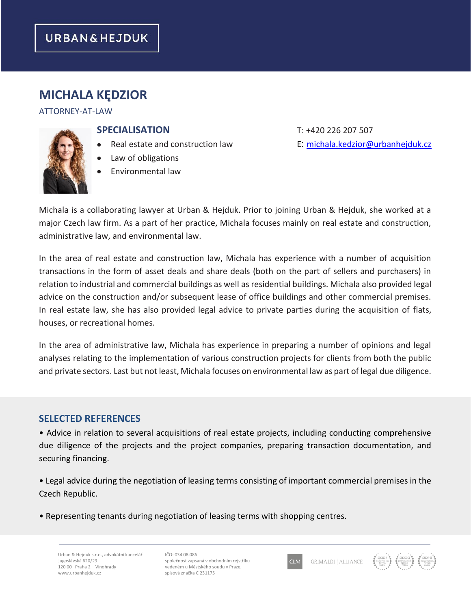# **MICHALA KĘDZIOR**

#### ATTORNEY-AT-LAW

### **SPECIALISATION** T: +420 226 207 507

- Real estate and construction law E: [michala.kedzior@urbanhejduk.cz](mailto:michala.kedzior@urbanhejduk.cz)
- Law of obligations
- Environmental law

Michala is a collaborating lawyer at Urban & Hejduk. Prior to joining Urban & Hejduk, she worked at a major Czech law firm. As a part of her practice, Michala focuses mainly on real estate and construction, administrative law, and environmental law.

In the area of real estate and construction law, Michala has experience with a number of acquisition transactions in the form of asset deals and share deals (both on the part of sellers and purchasers) in relation to industrial and commercial buildings as well as residential buildings. Michala also provided legal advice on the construction and/or subsequent lease of office buildings and other commercial premises. In real estate law, she has also provided legal advice to private parties during the acquisition of flats, houses, or recreational homes.

In the area of administrative law, Michala has experience in preparing a number of opinions and legal analyses relating to the implementation of various construction projects for clients from both the public and private sectors. Last but not least, Michala focuses on environmental law as part of legal due diligence.

### **SELECTED REFERENCES**

• Advice in relation to several acquisitions of real estate projects, including conducting comprehensive due diligence of the projects and the project companies, preparing transaction documentation, and securing financing.

• Legal advice during the negotiation of leasing terms consisting of important commercial premises in the Czech Republic.

• Representing tenants during negotiation of leasing terms with shopping centres.

Urban & Hejduk s.r.o., advokátní kancelář Jugoslávská 620/29 120 00 Praha 2 – Vinohrady www.urbanhejduk.cz

IČO: 034 08 086 společnost zapsaná v obchodním rejstříku vedeném u Městského soudu v Praze, spisová značka C 231175